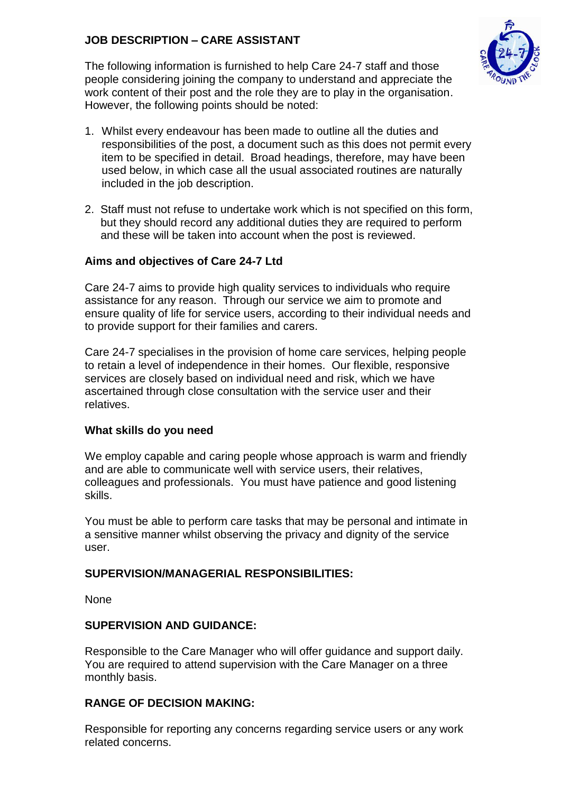# **JOB DESCRIPTION – CARE ASSISTANT**



The following information is furnished to help Care 24-7 staff and those people considering joining the company to understand and appreciate the work content of their post and the role they are to play in the organisation. However, the following points should be noted:

- 1. Whilst every endeavour has been made to outline all the duties and responsibilities of the post, a document such as this does not permit every item to be specified in detail. Broad headings, therefore, may have been used below, in which case all the usual associated routines are naturally included in the job description.
- 2. Staff must not refuse to undertake work which is not specified on this form, but they should record any additional duties they are required to perform and these will be taken into account when the post is reviewed.

### **Aims and objectives of Care 24-7 Ltd**

Care 24-7 aims to provide high quality services to individuals who require assistance for any reason. Through our service we aim to promote and ensure quality of life for service users, according to their individual needs and to provide support for their families and carers.

Care 24-7 specialises in the provision of home care services, helping people to retain a level of independence in their homes. Our flexible, responsive services are closely based on individual need and risk, which we have ascertained through close consultation with the service user and their relatives.

### **What skills do you need**

We employ capable and caring people whose approach is warm and friendly and are able to communicate well with service users, their relatives, colleagues and professionals. You must have patience and good listening skills.

You must be able to perform care tasks that may be personal and intimate in a sensitive manner whilst observing the privacy and dignity of the service user.

### **SUPERVISION/MANAGERIAL RESPONSIBILITIES:**

None

### **SUPERVISION AND GUIDANCE:**

Responsible to the Care Manager who will offer guidance and support daily. You are required to attend supervision with the Care Manager on a three monthly basis.

### **RANGE OF DECISION MAKING:**

Responsible for reporting any concerns regarding service users or any work related concerns.